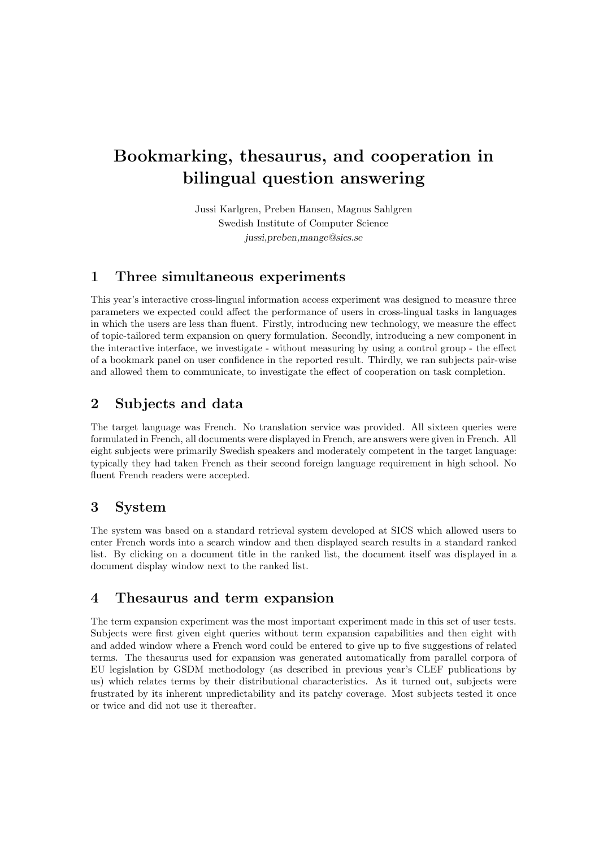# Bookmarking, thesaurus, and cooperation in bilingual question answering

Jussi Karlgren, Preben Hansen, Magnus Sahlgren Swedish Institute of Computer Science jussi,preben,mange@sics.se

#### 1 Three simultaneous experiments

This year's interactive cross-lingual information access experiment was designed to measure three parameters we expected could affect the performance of users in cross-lingual tasks in languages in which the users are less than fluent. Firstly, introducing new technology, we measure the effect of topic-tailored term expansion on query formulation. Secondly, introducing a new component in the interactive interface, we investigate - without measuring by using a control group - the effect of a bookmark panel on user confidence in the reported result. Thirdly, we ran subjects pair-wise and allowed them to communicate, to investigate the effect of cooperation on task completion.

## 2 Subjects and data

The target language was French. No translation service was provided. All sixteen queries were formulated in French, all documents were displayed in French, are answers were given in French. All eight subjects were primarily Swedish speakers and moderately competent in the target language: typically they had taken French as their second foreign language requirement in high school. No fluent French readers were accepted.

#### 3 System

The system was based on a standard retrieval system developed at SICS which allowed users to enter French words into a search window and then displayed search results in a standard ranked list. By clicking on a document title in the ranked list, the document itself was displayed in a document display window next to the ranked list.

#### 4 Thesaurus and term expansion

The term expansion experiment was the most important experiment made in this set of user tests. Subjects were first given eight queries without term expansion capabilities and then eight with and added window where a French word could be entered to give up to five suggestions of related terms. The thesaurus used for expansion was generated automatically from parallel corpora of EU legislation by GSDM methodology (as described in previous year's CLEF publications by us) which relates terms by their distributional characteristics. As it turned out, subjects were frustrated by its inherent unpredictability and its patchy coverage. Most subjects tested it once or twice and did not use it thereafter.